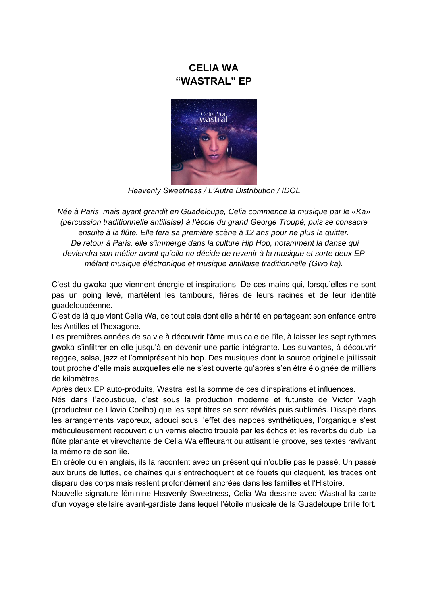## **CELIA WA "WASTRAL" EP**



*Heavenly Sweetness / L'Autre Distribution / IDOL*

*Née à Paris mais ayant grandit en Guadeloupe, Celia commence la musique par le «Ka» (percussion traditionnelle antillaise) à l'école du grand George Troupé, puis se consacre ensuite à la flûte. Elle fera sa première scène à 12 ans pour ne plus la quitter. De retour à Paris, elle s'immerge dans la culture Hip Hop, notamment la danse qui deviendra son métier avant qu'elle ne décide de revenir à la musique et sorte deux EP mélant musique éléctronique et musique antillaise traditionnelle (Gwo ka).*

C'est du gwoka que viennent énergie et inspirations. De ces mains qui, lorsqu'elles ne sont pas un poing levé, martèlent les tambours, fières de leurs racines et de leur identité guadeloupéenne.

C'est de là que vient Celia Wa, de tout cela dont elle a hérité en partageant son enfance entre les Antilles et l'hexagone.

Les premières années de sa vie à découvrir l'âme musicale de l'île, à laisser les sept rythmes gwoka s'infiltrer en elle jusqu'à en devenir une partie intégrante. Les suivantes, à découvrir reggae, salsa, jazz et l'omniprésent hip hop. Des musiques dont la source originelle jaillissait tout proche d'elle mais auxquelles elle ne s'est ouverte qu'après s'en être éloignée de milliers de kilomètres.

Après deux EP auto-produits, Wastral est la somme de ces d'inspirations et influences.

Nés dans l'acoustique, c'est sous la production moderne et futuriste de Victor Vagh (producteur de Flavia Coelho) que les sept titres se sont révélés puis sublimés. Dissipé dans les arrangements vaporeux, adouci sous l'effet des nappes synthétiques, l'organique s'est méticuleusement recouvert d'un vernis electro troublé par les échos et les reverbs du dub. La flûte planante et virevoltante de Celia Wa effleurant ou attisant le groove, ses textes ravivant la mémoire de son île.

En créole ou en anglais, ils la racontent avec un présent qui n'oublie pas le passé. Un passé aux bruits de luttes, de chaînes qui s'entrechoquent et de fouets qui claquent, les traces ont disparu des corps mais restent profondément ancrées dans les familles et l'Histoire.

Nouvelle signature féminine Heavenly Sweetness, Celia Wa dessine avec Wastral la carte d'un voyage stellaire avant-gardiste dans lequel l'étoile musicale de la Guadeloupe brille fort.